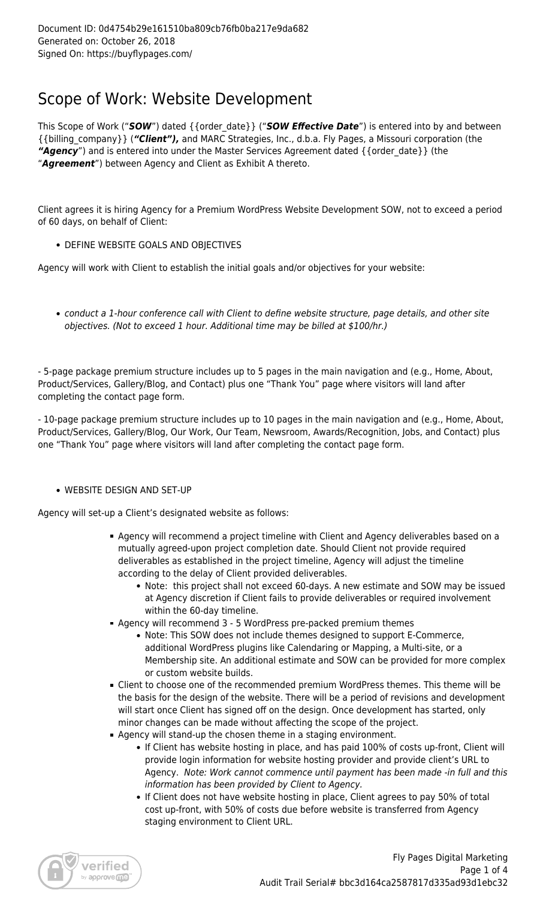## Scope of Work: Website Development

This Scope of Work ("*SOW*") dated {{order\_date}} ("*SOW Effective Date*") is entered into by and between {{billing\_company}} (*"Client"),* and MARC Strategies, Inc., d.b.a. Fly Pages, a Missouri corporation (the "Agency") and is entered into under the Master Services Agreement dated { {order\_date} } (the "*Agreement*") between Agency and Client as Exhibit A thereto.

Client agrees it is hiring Agency for a Premium WordPress Website Development SOW, not to exceed a period of 60 days, on behalf of Client:

DEFINE WEBSITE GOALS AND OBJECTIVES

Agency will work with Client to establish the initial goals and/or objectives for your website:

conduct a 1-hour conference call with Client to define website structure, page details, and other site objectives. (Not to exceed 1 hour. Additional time may be billed at \$100/hr.)

- 5-page package premium structure includes up to 5 pages in the main navigation and (e.g., Home, About, Product/Services, Gallery/Blog, and Contact) plus one "Thank You" page where visitors will land after completing the contact page form.

- 10-page package premium structure includes up to 10 pages in the main navigation and (e.g., Home, About, Product/Services, Gallery/Blog, Our Work, Our Team, Newsroom, Awards/Recognition, Jobs, and Contact) plus one "Thank You" page where visitors will land after completing the contact page form.

## WEBSITE DESIGN AND SET-UP

Agency will set-up a Client's designated website as follows:

- Agency will recommend a project timeline with Client and Agency deliverables based on a mutually agreed-upon project completion date. Should Client not provide required deliverables as established in the project timeline, Agency will adjust the timeline according to the delay of Client provided deliverables.
	- Note: this project shall not exceed 60-days. A new estimate and SOW may be issued at Agency discretion if Client fails to provide deliverables or required involvement within the 60-day timeline.
- Agency will recommend 3 5 WordPress pre-packed premium themes
	- Note: This SOW does not include themes designed to support E-Commerce, additional WordPress plugins like Calendaring or Mapping, a Multi-site, or a Membership site. An additional estimate and SOW can be provided for more complex or custom website builds.
- Client to choose one of the recommended premium WordPress themes. This theme will be the basis for the design of the website. There will be a period of revisions and development will start once Client has signed off on the design. Once development has started, only minor changes can be made without affecting the scope of the project.
- Agency will stand-up the chosen theme in a staging environment.
	- If Client has website hosting in place, and has paid 100% of costs up-front, Client will provide login information for website hosting provider and provide client's URL to Agency. Note: Work cannot commence until payment has been made -in full and this information has been provided by Client to Agency.
		- If Client does not have website hosting in place, Client agrees to pay 50% of total cost up-front, with 50% of costs due before website is transferred from Agency staging environment to Client URL.

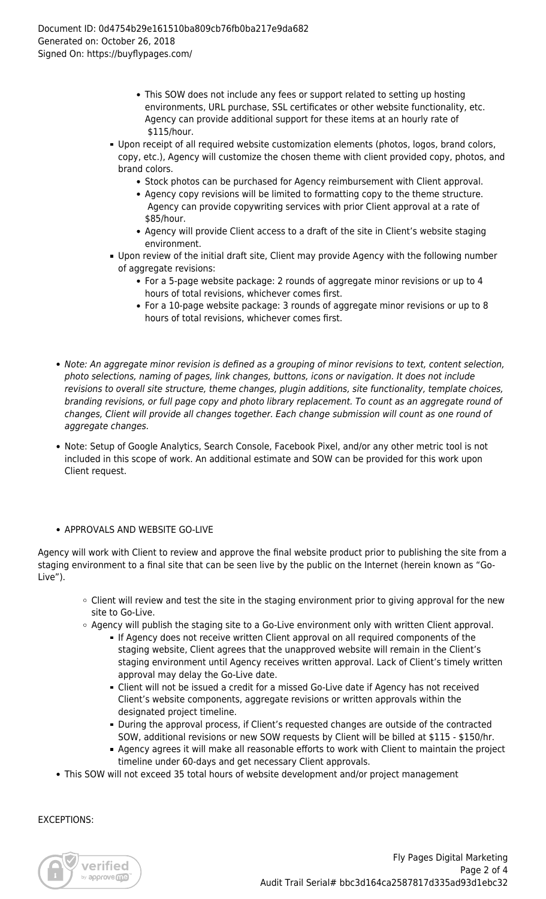- This SOW does not include any fees or support related to setting up hosting environments, URL purchase, SSL certificates or other website functionality, etc. Agency can provide additional support for these items at an hourly rate of \$115/hour.
- Upon receipt of all required website customization elements (photos, logos, brand colors, copy, etc.), Agency will customize the chosen theme with client provided copy, photos, and brand colors.
	- Stock photos can be purchased for Agency reimbursement with Client approval.
	- Agency copy revisions will be limited to formatting copy to the theme structure. Agency can provide copywriting services with prior Client approval at a rate of \$85/hour.
	- Agency will provide Client access to a draft of the site in Client's website staging environment.
- Upon review of the initial draft site, Client may provide Agency with the following number of aggregate revisions:
	- For a 5-page website package: 2 rounds of aggregate minor revisions or up to 4 hours of total revisions, whichever comes first.
	- For a 10-page website package: 3 rounds of aggregate minor revisions or up to 8 hours of total revisions, whichever comes first.
- Note: An aggregate minor revision is defined as a grouping of minor revisions to text, content selection, photo selections, naming of pages, link changes, buttons, icons or navigation. It does not include revisions to overall site structure, theme changes, plugin additions, site functionality, template choices, branding revisions, or full page copy and photo library replacement. To count as an aggregate round of changes, Client will provide all changes together. Each change submission will count as one round of aggregate changes.
- Note: Setup of Google Analytics, Search Console, Facebook Pixel, and/or any other metric tool is not included in this scope of work. An additional estimate and SOW can be provided for this work upon Client request.
- APPROVALS AND WEBSITE GO-LIVE

Agency will work with Client to review and approve the final website product prior to publishing the site from a staging environment to a final site that can be seen live by the public on the Internet (herein known as "Go-Live").

- Client will review and test the site in the staging environment prior to giving approval for the new site to Go-Live.
- $\circ$  Agency will publish the staging site to a Go-Live environment only with written Client approval.
	- If Agency does not receive written Client approval on all required components of the staging website, Client agrees that the unapproved website will remain in the Client's staging environment until Agency receives written approval. Lack of Client's timely written approval may delay the Go-Live date.
	- Client will not be issued a credit for a missed Go-Live date if Agency has not received Client's website components, aggregate revisions or written approvals within the designated project timeline.
	- During the approval process, if Client's requested changes are outside of the contracted SOW, additional revisions or new SOW requests by Client will be billed at \$115 - \$150/hr.
	- Agency agrees it will make all reasonable efforts to work with Client to maintain the project timeline under 60-days and get necessary Client approvals.
- This SOW will not exceed 35 total hours of website development and/or project management

EXCEPTIONS:

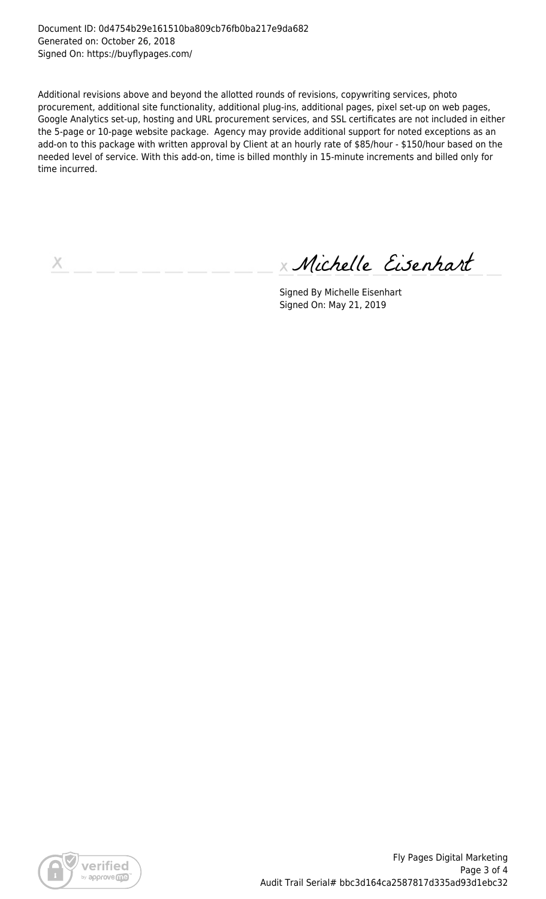Document ID: 0d4754b29e161510ba809cb76fb0ba217e9da682 Generated on: October 26, 2018 Signed On: https://buyflypages.com/

Additional revisions above and beyond the allotted rounds of revisions, copywriting services, photo procurement, additional site functionality, additional plug-ins, additional pages, pixel set-up on web pages, Google Analytics set-up, hosting and URL procurement services, and SSL certificates are not included in either the 5-page or 10-page website package. Agency may provide additional support for noted exceptions as an add-on to this package with written approval by Client at an hourly rate of \$85/hour - \$150/hour based on the needed level of service. With this add-on, time is billed monthly in 15-minute increments and billed only for time incurred.

Х

Michelle Eisenhart

Signed By Michelle Eisenhart Signed On: May 21, 2019